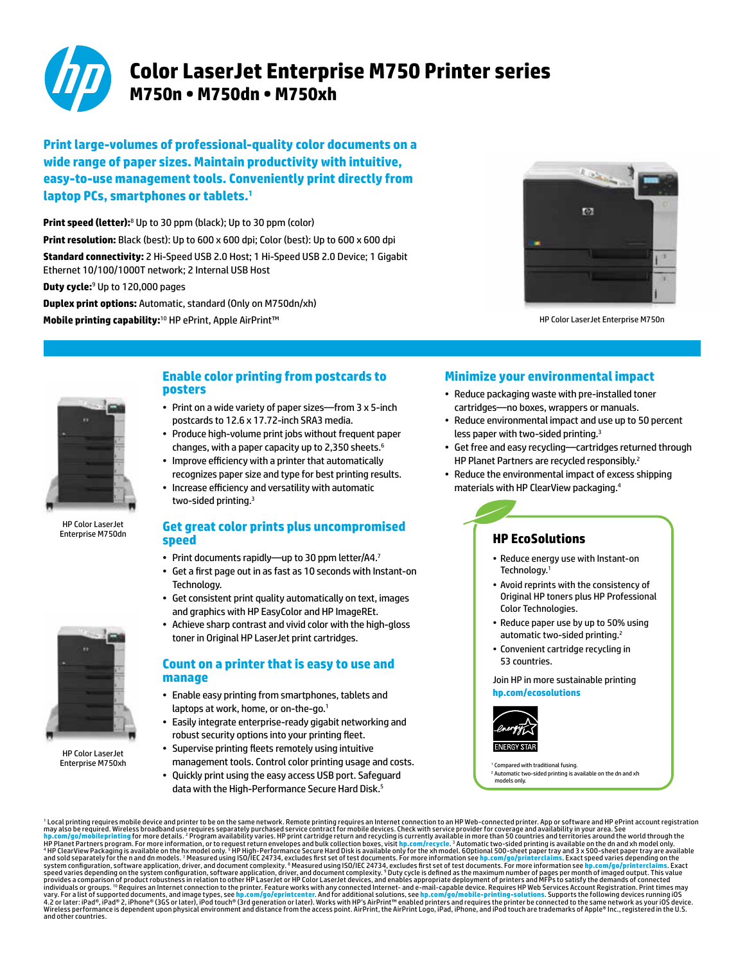

# **Color LaserJet Enterprise M750 Printer series M750n • M750dn • M750xh**

**Print large-volumes of professional-quality color documents on a wide range of paper sizes. Maintain productivity with intuitive, easy-to-use management tools. Conveniently print directly from laptop PCs, smartphones or tablets.1**

**Print speed (letter):**<sup>8</sup> Up to 30 ppm (black); Up to 30 ppm (color) **Print resolution:** Black (best): Up to 600 x 600 dpi; Color (best): Up to 600 x 600 dpi **Standard connectivity:** 2 Hi-Speed USB 2.0 Host; 1 Hi-Speed USB 2.0 Device; 1 Gigabit Ethernet 10/100/1000T network; 2 Internal USB Host **Duty cycle:**<sup>9</sup> Up to 120,000 pages **Duplex print options:** Automatic, standard (Only on M750dn/xh)

**Mobile printing capability:**<sup>10</sup> HP ePrint, Apple AirPrint™



HP Color LaserJet Enterprise M750n



HP Color LaserJet Enterprise M750dn

### **Enable color printing from postcards to posters**

- Print on a wide variety of paper sizes-from 3 x 5-inch postcards to 12.6 x 17.72-inch SRA3 media.
- Produce high-volume print jobs without frequent paper changes, with a paper capacity up to 2,350 sheets.6
- • Improve efficiency with a printer that automatically recognizes paper size and type for best printing results.
- • Increase efficiency and versatility with automatic two-sided printing. 3

### **Get great color prints plus uncompromised speed**

- Print documents rapidly—up to 30 ppm letter/A4.7
- • Get a first page out in as fast as 10 seconds with Instant-on Technology.
- Get consistent print quality automatically on text, images and graphics with HP EasyColor and HP ImageREt.
- Achieve sharp contrast and vivid color with the high-gloss toner in Original HP LaserJet print cartridges.

### **Count on a printer that is easy to use and manage**

- • Enable easy printing from smartphones, tablets and laptops at work, home, or on-the-go.<sup>1</sup>
- Easily integrate enterprise-ready gigabit networking and robust security options into your printing fleet.
- Supervise printing fleets remotely using intuitive management tools. Control color printing usage and costs.
- • Quickly print using the easy access USB port. Safeguard
	- data with the High-Performance Secure Hard Disk.<sup>5</sup>

## **Minimize your environmental impact**

- • Reduce packaging waste with pre-installed toner cartridges—no boxes, wrappers or manuals.
- Reduce environmental impact and use up to 50 percent less paper with two-sided printing. 3
- • Get free and easy recycling—cartridges returned through HP Planet Partners are recycled responsibly.<sup>2</sup>
- Reduce the environmental impact of excess shipping materials with HP ClearView packaging.4

## **HP EcoSolutions**

- Reduce energy use with Instant-on Technology.<sup>1</sup>
- • Avoid reprints with the consistency of Original HP toners plus HP Professional Color Technologies.
- Reduce paper use by up to 50% using automatic two-sided printing.<sup>2</sup>
- • Convenient cartridge recycling in 53 countries.

Join HP in more sustainable printing **[hp.com/ecosolutions](http://hp.com/ecosolutions)**



<sup>1</sup> Compared with traditional fusing. <sup>2</sup> Automatic two-sided printing is available on the dn and xh models only.

' Local printing required. Wireless broadband use requires to be on the same network. Remote print records and tentent to be network on a HP Web-connected principal and in the Pinit Comparison of provides a comparison of p



HP Color LaserJet Enterprise M750xh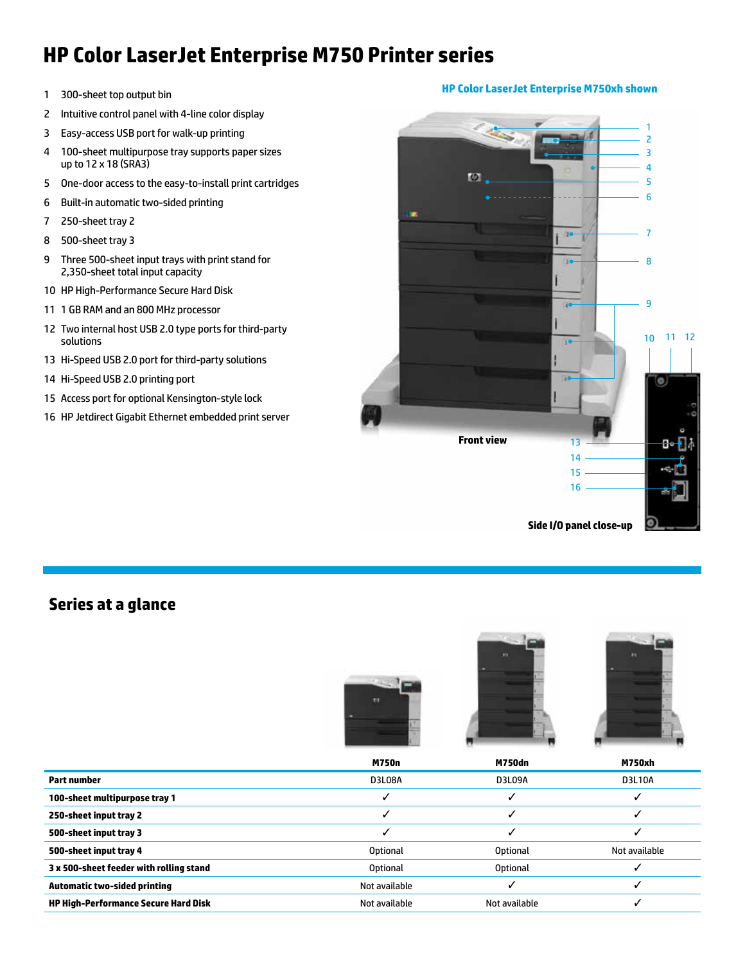# **HP Color LaserJet Enterprise M750 Printer series**

- 1 300-sheet top output bin
- 2 Intuitive control panel with 4-line color display
- 3 Easy-access USB port for walk-up printing
- 4 100-sheet multipurpose tray supports paper sizes up to 12 x 18 (SRA3)
- 5 One-door access to the easy-to-install print cartridges
- 6 Built-in automatic two-sided printing
- 7 250-sheet tray 2
- 8 500-sheet tray 3
- 9 Three 500-sheet input trays with print stand for 2,350-sheet total input capacity
- 10 HP High-Performance Secure Hard Disk
- 11 1 GB RAM and an 800 MHz processor
- 12 Two internal host USB 2.0 type ports for third-party solutions
- 13 Hi-Speed USB 2.0 port for third-party solutions
- 14 Hi-Speed USB 2.0 printing port
- 15 Access port for optional Kensington-style lock
- 16 HP Jetdirect Gigabit Ethernet embedded print server



## **Series at a glance**







|                                             | <b>M750n</b>    | <b>M750dn</b>   | <b>M750xh</b> |
|---------------------------------------------|-----------------|-----------------|---------------|
| <b>Part number</b>                          | <b>D3L08A</b>   | D3L09A          | D3L10A        |
| 100-sheet multipurpose tray 1               |                 |                 |               |
| 250-sheet input tray 2                      |                 |                 |               |
| 500-sheet input tray 3                      |                 |                 |               |
| 500-sheet input tray 4                      | <b>Optional</b> | <b>Optional</b> | Not available |
| 3 x 500-sheet feeder with rolling stand     | <b>Optional</b> | <b>Optional</b> |               |
| <b>Automatic two-sided printing</b>         | Not available   |                 |               |
| <b>HP High-Performance Secure Hard Disk</b> | Not available   | Not available   |               |

### **HP Color LaserJet Enterprise M750xh shown**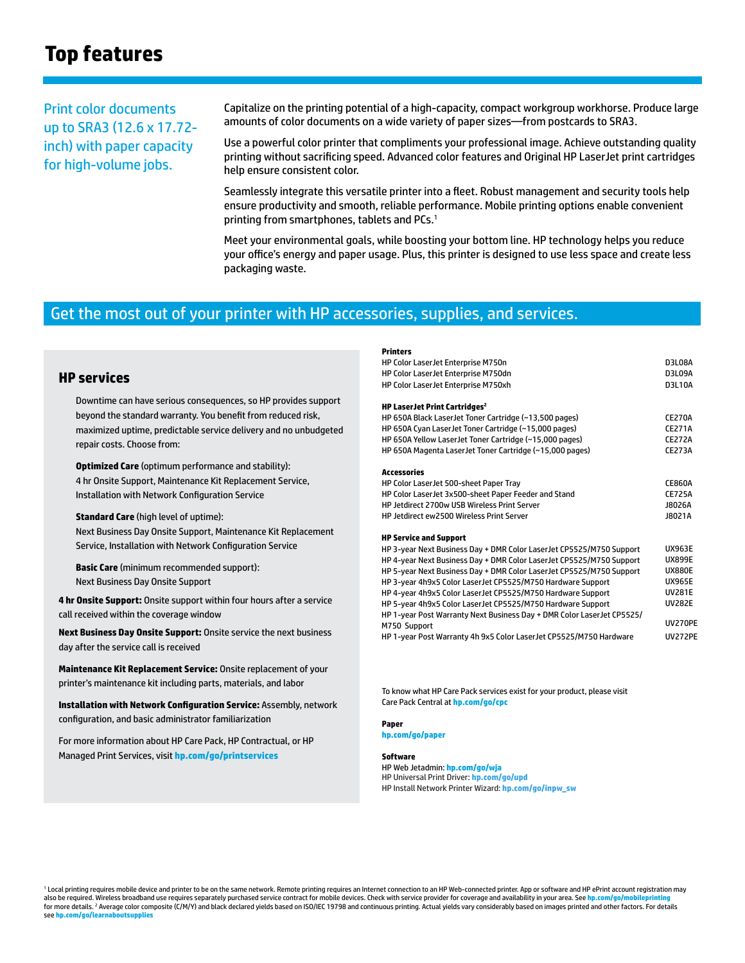# **Top features**

Print color documents up to SRA3 (12.6 x 17.72 inch) with paper capacity for high-volume jobs.

Capitalize on the printing potential of a high-capacity, compact workgroup workhorse. Produce large amounts of color documents on a wide variety of paper sizes—from postcards to SRA3.

Use a powerful color printer that compliments your professional image. Achieve outstanding quality printing without sacrificing speed. Advanced color features and Original HP LaserJet print cartridges help ensure consistent color.

Seamlessly integrate this versatile printer into a fleet. Robust management and security tools help ensure productivity and smooth, reliable performance. Mobile printing options enable convenient printing from smartphones, tablets and PCs.<sup>1</sup>

Meet your environmental goals, while boosting your bottom line. HP technology helps you reduce your office's energy and paper usage. Plus, this printer is designed to use less space and create less packaging waste.

**Printers**

## Get the most out of your printer with HP accessories, supplies, and services.

### **HP services**

Downtime can have serious consequences, so HP provides support beyond the standard warranty. You benefit from reduced risk, maximized uptime, predictable service delivery and no unbudgeted repair costs. Choose from:

**Optimized Care** (optimum performance and stability): 4 hr Onsite Support, Maintenance Kit Replacement Service, Installation with Network Configuration Service

**Standard Care** (high level of uptime): Next Business Day Onsite Support, Maintenance Kit Replacement Service, Installation with Network Configuration Service

**Basic Care** (minimum recommended support): Next Business Day Onsite Support

**4 hr Onsite Support:** Onsite support within four hours after a service call received within the coverage window

**Next Business Day Onsite Support:** Onsite service the next business day after the service call is received

**Maintenance Kit Replacement Service:** Onsite replacement of your printer's maintenance kit including parts, materials, and labor

**Installation with Network Configuration Service:** Assembly, network configuration, and basic administrator familiarization

For more information about HP Care Pack, HP Contractual, or HP Managed Print Services, visit **[hp.com/go/printservices](http://hp.com/go/printservices)**

| HP Color LaserJet Enterprise M750n<br>HP Color LaserJet Enterprise M750dn | <b>D3L08A</b><br><b>D3L09A</b> |
|---------------------------------------------------------------------------|--------------------------------|
| HP Color LaserJet Enterprise M750xh                                       | <b>D3L10A</b>                  |
| HP LaserJet Print Cartridges <sup>2</sup>                                 |                                |
| HP 650A Black LaserJet Toner Cartridge (~13,500 pages)                    | <b>CE270A</b>                  |
| HP 650A Cyan LaserJet Toner Cartridge (~15,000 pages)                     | <b>CE271A</b>                  |
| HP 650A Yellow LaserJet Toner Cartridge (~15,000 pages)                   | <b>CE272A</b>                  |
| HP 650A Magenta LaserJet Toner Cartridge (~15,000 pages)                  | <b>CE273A</b>                  |
| <b>Accessories</b>                                                        |                                |
| HP Color LaserJet 500-sheet Paper Tray                                    | <b>CE860A</b>                  |
| HP Color LaserJet 3x500-sheet Paper Feeder and Stand                      | <b>CE725A</b>                  |
| HP letdirect 2700w USB Wireless Print Server                              | J8026A                         |
| <b>HP Jetdirect ew2500 Wireless Print Server</b>                          | J8021A                         |
| <b>HP Service and Support</b>                                             |                                |
| HP 3-year Next Business Day + DMR Color LaserJet CP5525/M750 Support      | <b>UX963E</b>                  |
| HP 4-year Next Business Day + DMR Color LaserJet CP5525/M750 Support      | <b>UX899E</b>                  |
| HP 5-year Next Business Day + DMR Color LaserJet CP5525/M750 Support      | <b>UX880E</b>                  |
| HP 3-year 4h9x5 Color LaserJet CP5525/M750 Hardware Support               | <b>UX965E</b>                  |
| HP 4-year 4h9x5 Color LaserJet CP5525/M750 Hardware Support               | <b>UV281E</b>                  |
| HP 5-year 4h9x5 Color LaserJet CP5525/M750 Hardware Support               | <b>UV282E</b>                  |
| HP 1-year Post Warranty Next Business Day + DMR Color LaserJet CP5525/    |                                |
| M750 Support                                                              | <b>UV270PE</b>                 |
| HP 1-year Post Warranty 4h 9x5 Color LaserJet CP5525/M750 Hardware        | <b>UV272PE</b>                 |

To know what HP Care Pack services exist for your product, please visit Care Pack Central at **[hp.com/go/cpc](http://hp.com/go/cpc)**

**Paper**

**[hp.com/go/paper](http://hp.com/go/paper)**

#### **Software**

HP Web Jetadmin: **[hp.com/go/wja](http://hp.com/go/wja)** HP Universal Print Driver: **[hp.com/go/upd](http://hp.com/go/upd)** HP Install Network Printer Wizard: [hp.com/go/inpw\\_sw](http://hp.com/go/inpw_sw)

<sup>1</sup> Local printing requires mobile device and printer to be on the same network. Remote printing requires an Internet connection to an HP Web-connected printer. App or software and HP ePrint account registration may also be required. Wireless broadband use requires separately purchased service contract for mobile devices. Check with service provider for coverage and availability in your area. See <mark>h</mark><sub>l</sub> for more details. <sup>2</sup> Average color composite (C/M/Y) and black declared yields based on ISO/IEC 19798 and continuous printing. Actual yields vary considerably based on images printed and other factors. For details see **hp.com/go/learn**